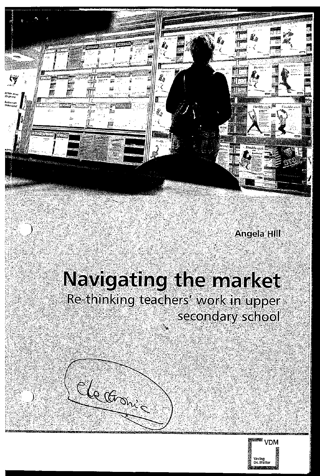

### **Angela Hill**

# Navigating the market Re-thinking teachers' work in upper secondary school

Elections

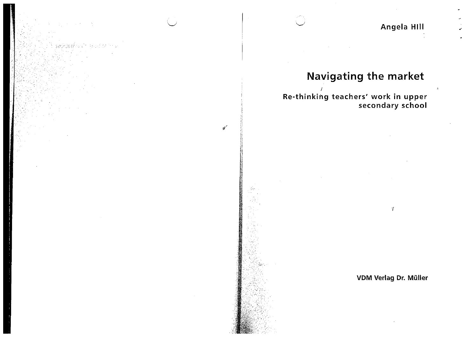$\mathcal{L}$ 

## **Navigating the market**

I Re-thinking teachers' work in upper secondary school

 $\mathcal{L}^{\mathcal{L}}$ 

ประดังสังคม จังกับ จังกรรม ( ) ร

VDM Verlag Dr. Müller

 $\hat{\mathbf{v}}$